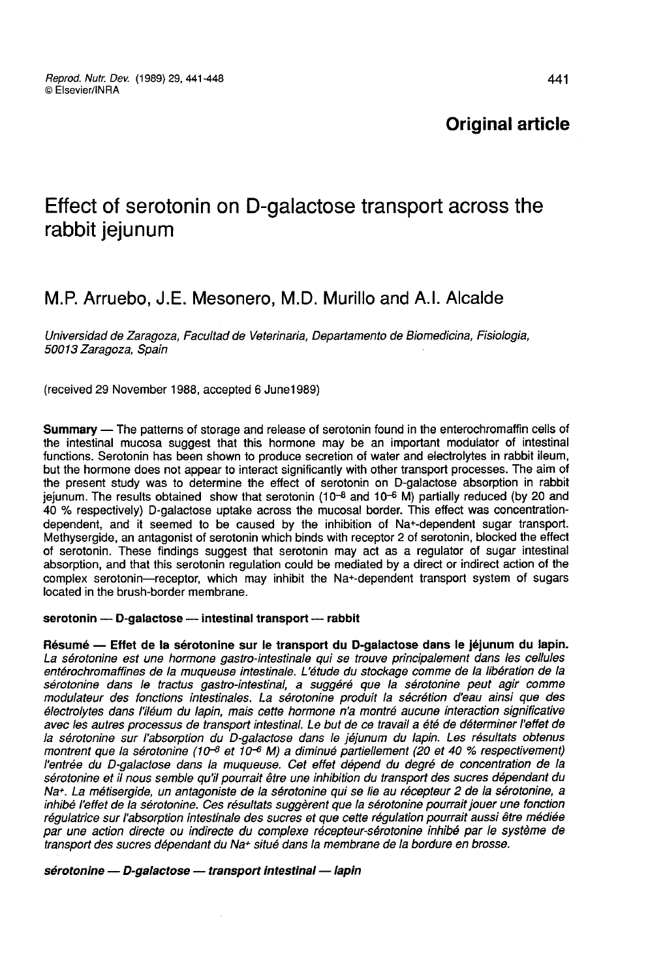# Effect of serotonin on D-galactose transport across the rabbit jejunum

# M.P. Arruebo, J.E. Mesonero, M.D. Murillo and A.I. Alcalde

Universidad de Zaragoza, Facultad de Veterinaria, Departamento de Biomedicina, Fisiologia, 50013 Zaragoza, Spain

(received 29 November 1988, accepted 6 June1989)

Summary ― The patterns of storage and release of serotonin found in the enterochromaffin cells of the intestinal mucosa suggest that this hormone may be an important modulator of intestinal functions. Serotonin has been shown to produce secretion of water and electrolytes in rabbit ileum, but the hormone does not appear to interact significantly with other transport processes. The aim of the present study was to determine the effect of serotonin on D-galactose absorption in rabbit jejunum. The results obtained show that serotonin (10<sup>-8</sup> and 10<sup>-6</sup> M) partially reduced (by 20 and 40 % respectively) D-galactose uptake across the mucosal border. This effect was concentrationdependent, and it seemed to be caused by the inhibition of Na+-dependent sugar transport. Methysergide, an antagonist of serotonin which binds with receptor 2 of serotonin, blocked the effect of serotonin. These findings suggest that serotonin may act as a regulator of sugar intestinal absorption, and that this serotonin regulation could be mediated by a direct or indirect action of the complex serotonin―receptor, which may inhibit the Na+-dependent transport system of sugars located in the brush-border membrane.

#### serotonin - D-galactose - intestinal transport - rabbit

Résumé ― Effet de la sérotonine sur le transport du D-galactose dans le jéjunum du lapin. La sérotonine est une hormone gastro-intestinale qui se trouve principalement dans les cellules entérochromaffines de la muqueuse intestinale. L'étude du stockage comme de la libération de la sérotonine dans le tractus gastro-intestinal, a suggéré que la sérotonine peut agir comme modulateur des fonctions intestinales. La sérotonine produit la sécrétion d'eau ainsi que des avec les autres processus de transport intestinal. Le but de ce travail a été de déterminer l'effet de la sérotonine sur l'absorption du D-galactose dans le jéjunum du lapin. Les résultats obtenus montrent que la sérotonine (10-8 et  $10^{-6}$  M) a diminué partiellement (20 et 40 % respectivement) l'entrée du D-galactose dans la muqueuse. Cet effet dépend du degré de concentration de la sérotonine et il nous semble qu'il pourrait être une inhibition du transport des sucres dépendant du Na+. La métisergide, un antagoniste de la sérotonine qui se lie au récepteur 2 de la sérotonine, a inhibé l'effet de la sérotonine. Ces résultats suggèrent que la sérotonine pourrait jouer une fonction régulatrice sur l'absorption intestinale des sucres et que cette régulation pourrait aussi être médiée par une action directe ou indirecte du complexe récepteur-sérotonine inhibé par le système de transport des sucres dépendant du Na+ situé dans la membrane de la bordure en brosse.

#### sérotonine - D-galactose -- transport intestinal -- lapin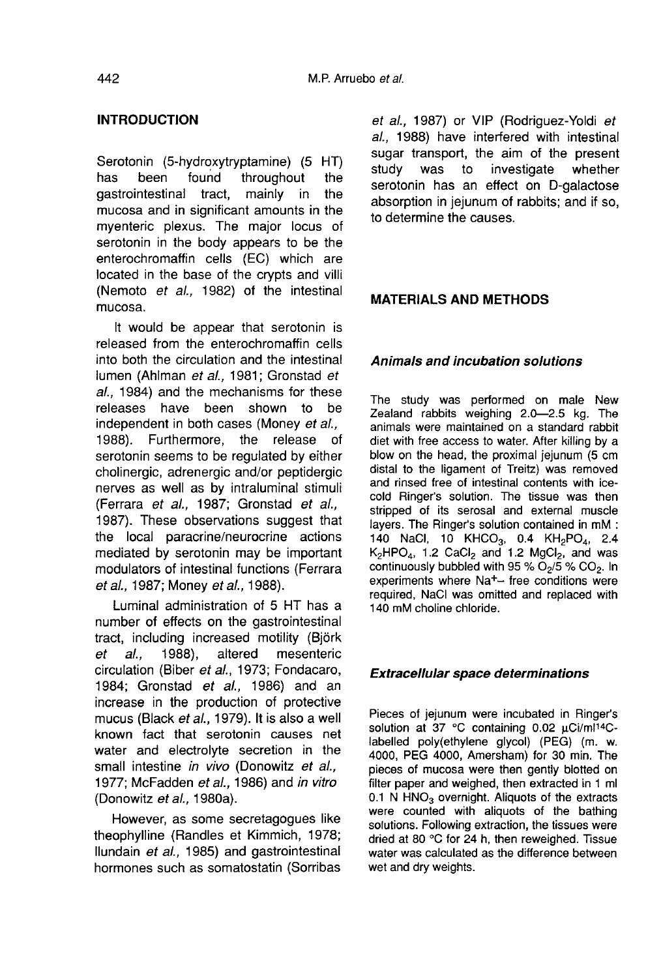# INTRODUCTION

Serotonin (5-hydroxytryptamine) (5 HT)<br>has been found throughout the ound throughout the<br>tract. mainly in the dastrointestinal mucosa and in significant amounts in the myenteric plexus. The major locus of serotonin in the body appears to be the enterochromaffin cells (EC) which are located in the base of the crypts and villi (Nemoto et al., 1982) of the intestinal mucosa.

It would be appear that serotonin is released from the enterochromaffin cells into both the circulation and the intestinal lumen (Ahlman et al., 1981; Gronstad et al., 1984) and the mechanisms for these<br>releases have been shown to be releases have been shown to independent in both cases (Money *et al.,* 1988). Furthermore, the release of 1988). Furthermore, the release serotonin seems to be regulated by either cholinergic, adrenergic and/or peptidergic nerves as well as by intraluminal stimuli (Ferrara et al., 1987; Gronstad et al., 1987). These observations suggest that the local paracrine/neurocrine actions mediated by serotonin may be important modulators of intestinal functions (Ferrara et al., 1987; Money et al., 1988).

Luminal administration of 5 HT has a number of effects on the gastrointestinal tract, including increased motility (Björk<br>et al., 1988), altered mesenteric et al., 1988), altered mesenteric circulation (Biber et al., 1973; Fondacaro, 1984; Gronstad et al., 1986) and an increase in the production of protective mucus (Black et al., 1979). It is also a well known fact that serotonin causes net water and electrolyte secretion in the small intestine *in vivo* (Donowitz *et al.*, 1977; McFadden et al., 1986) and in vitro (Donowitz ef al., 1980a).

However, as some secretagogues like theophylline (Randles et Kimmich, 1978; Ilundain et al., 1985) and gastrointestinal hormones such as somatostatin (Sorribas

et al., 1987) or VIP (Rodriguez-Yoldi et al., 1988) have interfered with intestinal sugar transport, the aim of the present<br>study was to investigate whether investigate serotonin has an effect on D-galactose absorption in jejunum of rabbits; and if so, to determine the causes.

## MATERIALS AND METHODS

#### Animals and incubation solutions

The study was performed on male New Zealand rabbits weighing 2.0―2.5 kg. The animals were maintained on a standard rabbit diet with free access to water. After killing by a blow on the head, the proximal jejunum (5 cm distal to the ligament of Treitz) was removed and rinsed free of intestinal contents with icecold Ringer's solution. The tissue was then<br>stripped of its serosal and external muscle<br>layers. The Ringer's solution contained in mM :<br>140 NaCl, 10 KHCO<sub>3</sub>, 0.4 KH<sub>2</sub>PO<sub>4</sub>, 2.4<br> $K_2$ HPO<sub>4</sub>, 1.2 CaCl<sub>2</sub> and 1.2 MgCl<sub>2</sub>, a stripped of its serosal and external muscle<br>layers. The Ringer's solution contained in mM 140 NaCl, 10 KHCO<sub>3</sub>, 0.4 KH<sub>2</sub>PO<sub>4</sub>, 2.4<br>K<sub>2</sub>HPO<sub>4</sub>, 1.2 CaCl<sub>2</sub> and 1.2 MgCl<sub>2</sub>, and was<br>continuously bubbled with 95 % O<sub>2</sub>/5 % layers. The Ringer's solution contained in mM :<br>140 NaCl, 10 KHCO<sub>3</sub>, 0.4 KH<sub>2</sub>PO<sub>4</sub>, 2.4  $K_2$ HPO<sub>4</sub>, 1.2 CaCl<sub>2</sub> and 1.2 MgCl<sub>2</sub>, and was continuously bubbled with 95 % O<sub>2</sub>/5 % CO<sub>2</sub>. In experiments where Na<sup>+</sup>- free conditions were continuously bubbled with 95 %  $O_2/5$  %  $CO_2$ . In required, NaCl was omitted and replaced with 140 mM choline chloride.

#### Extracellular space determinations

Pieces of jejunum were incubated in Ringer's solution at 37 °C containing 0.02 uCi/ml14C-Extracellular space determinations<br>Pieces of jejunum were incubated in Ringer's<br>solution at 37 °C containing 0.02  $\mu$ Ci/ml<sup>14</sup>C-<br>labelled poly(ethylene glycol) (PEG) (m. w. 4000, PEG 4000, Amersham) for 30 min. The pieces of mucosa were then gently blotted on filter paper and weighed, then extracted in 1 ml pieces of mucosa were then gently blotted on<br>filter paper and weighed, then extracted in 1 ml<br>0.1 N HNO<sub>3</sub> overnight. Aliquots of the extracts<br>were counted with aliquots of the bathing were counted with aliquots of the bathing solutions. Following extraction, the tissues were dried at 80 °C for 24 h, then reweighed. Tissue water was calculated as the difference between wet and dry weights.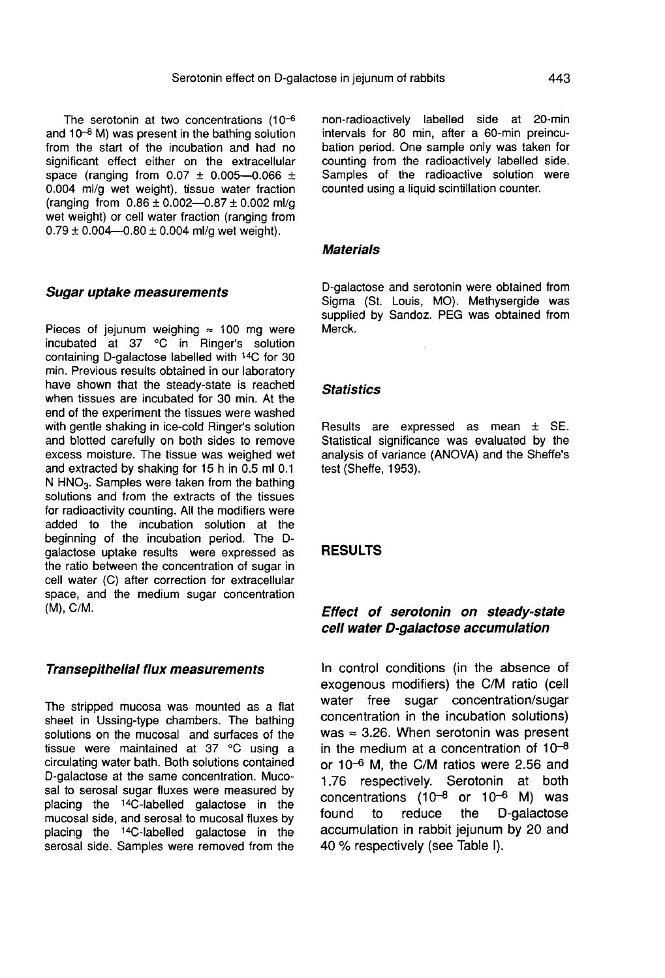The serotonin at two concentrations  $(10^{-6}$  and  $10^{-8}$  M) was present in the bathing solution from the start of the incubation and had no significant effect either on the extracellular space (ranging from  $0.07 \pm 0.005 - 0.066 \pm 1$ 0.004 ml/g wet weight), tissue water fraction (ranging from  $0.86 \pm 0.002 - 0.87 \pm 0.002$  ml/g wet weight) or cell water fraction (ranging from  $0.79 \pm 0.004 - 0.80 \pm 0.004$  ml/g wet weight).

#### Sugar uptake measurements

Pieces of jejunum weighing  $\approx$  100 mg were incubated at 37 °C in Ringer's solution containing D-galactose labelled with !4C for 30 min. Previous results obtained in our laboratory have shown that the steady-state is reached when tissues are incubated for 30 min. At the end of the experiment the tissues were washed with gentle shaking in ice-cold Ringer's solution and blotted carefully on both sides to remove excess moisture. The tissue was weighed wet and extracted by shaking for 15 h in 0.5 ml 0.1 I excess moisture. The tissue was weighed wet<br>and extracted by shaking for 15 h in 0.5 ml 0.1<br>N HNO<sub>3</sub>. Samples were taken from the bathing<br>solutions and from the extracts of the tissues solutions and from the extracts of the tissues for radioactivity counting. All the modifiers were added to the incubation solution at the beginning of the incubation period. The Dgalactose uptake results were expressed as the ratio between the concentration of sugar in cell water (C) after correction for extracellular space, and the medium sugar concentration (M), C/M.

#### Transepithelial flux measurements

The stripped mucosa was mounted as a flat sheet in Ussing-type chambers. The bathing solutions on the mucosal and surfaces of the tissue were maintained at 37 °C using a circulating water bath. Both solutions contained D-galactose at the same concentration. Mucosal to serosal sugar fluxes were measured by placing the <sup>14</sup>C-labelled galactose in the mucosal side, and serosal to mucosal fluxes by placing the <sup>14</sup>C-labelled galactose in the serosal side. Samples were removed from the non-radioactively labelled side at 20-min intervals for 80 min, after a 60-min preincubation period. One sample only was taken for counting from the radioactively labelled side. Samples of the radioactive solution were counted using a liquid scintillation counter.

#### **Materials**

D-galactose and serotonin were obtained from Sigma (St. Louis, MO). Methysergide was supplied by Sandoz. PEG was obtained from Merck.

#### **Statistics**

Results are expressed as mean  $\pm$  SE. Statistical significance was evaluated by the analysis of variance (ANOVA) and the Sheffe's test (Sheffe, 1953).

#### RESULTS

# Effect of serotonin on steady-state cell water D-galactose accumulation

In control conditions (in the absence of exogenous modifiers) the C/M ratio (cell water free sugar concentration/sugar concentration in the incubation solutions) was  $\approx$  3.26. When serotonin was present<br>in the medium at a concentration of  $10^{-8}$ in the medium at a concentration of 10<sup>-8</sup><br>or 10<sup>-6</sup> M, the C/M ratios were 2.56 and 1.76 respectively. Serotonin at both 1.76 respectively. Serotonin at both<br>concentrations  $(10^{-8} \text{ or } 10^{-6} \text{ M})$  was found to reduce the D-galactose accumulation in rabbit jejunum by 20 and 40 % respectively (see Table 1).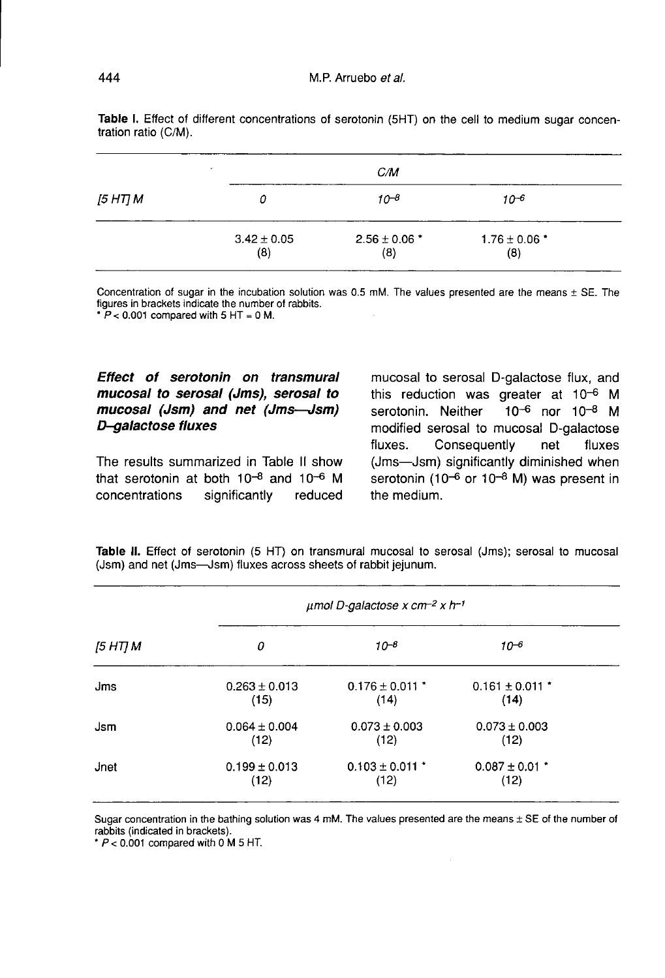|          | $\bullet$              | C/M                      |                          |  |
|----------|------------------------|--------------------------|--------------------------|--|
| [5 HT] M | Ω                      | $10^{-8}$                | $10^{-6}$                |  |
|          | $3.42 \pm 0.05$<br>(8) | $2.56 \pm 0.06$ *<br>(8) | $1.76 \pm 0.06$ *<br>(8) |  |

Table I. Effect of different concentrations of serotonin (5HT) on the cell to medium sugar concentration ratio (C/M).

Concentration of sugar in the incubation solution was 0.5 mM. The values presented are the means  $\pm$  SE. The figures in brackets indicate the number of rabbits.

 $\overline{P}$  < 0.001 compared with 5 HT = 0 M.

# Effect of serotonin on transmural mucosal to serosal (Jms), serosal to mucosal (Jsm) and net (Jms-Jsm) D-galactose fluxes

The results summarized in Table II show that serotonin at both  $10^{-8}$  and  $10^{-6}$  M<br>concentrations significantly reduced concentrations

mucosal to serosal D-galactose flux, and this reduction was greater at 10<sup>-6</sup> M<br>serotonin. Neither 10<sup>-6</sup> nor 10<sup>-8</sup> M  $10^{-6}$  nor  $10^{-8}$  M modified serosal to mucosal D-galactose<br>fluxes. Consequently net fluxes Consequently net fluxes (Jms―Jsm) significantly diminished when serotonin (10- $6$  or 10- $8$  M) was present in the medium.

Table II. Effect of serotonin (5 HT) on transmural mucosal to serosal (Jms); serosal to mucosal (Jsm) and net (Jms-Jsm) fluxes across sheets of rabbit jejunum.

|          | $\mu$ mol D-galactose x cm <sup>-2</sup> x h <sup>-1</sup> |                             |                             |  |  |
|----------|------------------------------------------------------------|-----------------------------|-----------------------------|--|--|
| [5 HT] M | 0                                                          | $10^{-8}$                   | $10^{-6}$                   |  |  |
| Jms      | $0.263 \pm 0.013$<br>(15)                                  | $0.176 \pm 0.011$ *<br>(14) | $0.161 \pm 0.011$ *<br>(14) |  |  |
| Jsm      | $0.064 \pm 0.004$<br>(12)                                  | $0.073 \pm 0.003$<br>(12)   | $0.073 \pm 0.003$<br>(12)   |  |  |
| Jnet     | $0.199 \pm 0.013$<br>(12)                                  | $0.103 \pm 0.011$ *<br>(12) | $0.087 \pm 0.01$ *<br>(12)  |  |  |

Sugar concentration in the bathing solution was 4 mM. The values presented are the means  $\pm$  SE of the number of rabbits (indicated in brackets).

 $\tau$  P < 0.001 compared with 0 M 5 HT.

444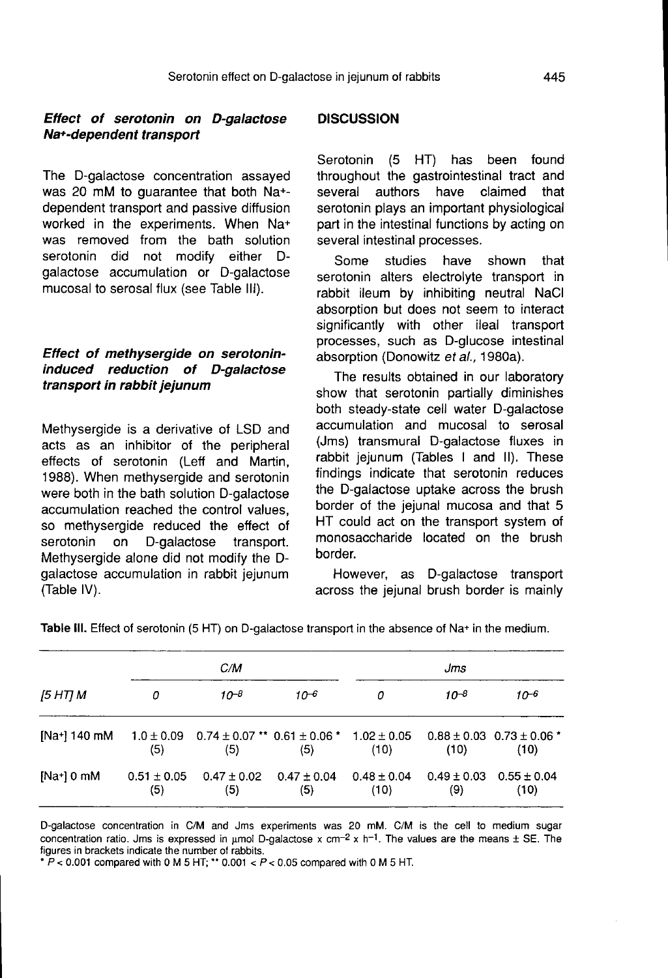#### Effect of serotonin on D-galactose Na+-dependent transport

The D-galactose concentration assayed was 20 mM to guarantee that both Na+ dependent transport and passive diffusion worked in the experiments. When Na+ was removed from the bath solution serotonin did not modify either Dgalactose accumulation or D-galactose mucosal to serosal flux (see Table 111).

# Effect of methysergide on serotonininduced reduction of D-galactose transport in rabbit jejunum

Methysergide is a derivative of LSD and acts as an inhibitor of the peripheral effects of serotonin (Leff and Martin, 1988). When methysergide and serotonin were both in the bath solution D-galactose accumulation reached the control values, so methysergide reduced the effect of<br>serotonin on D-galactose transport. D-galactose transport. Methysergide alone did not modify the Dgalactose accumulation in rabbit jejunum (Table IV).

# **DISCUSSION**

Serotonin (5 HT) has been found throughout the gastrointestinal tract and<br>several authors have claimed that several authors serotonin plays an important physiological part in the intestinal functions by acting on several intestinal processes.

Some studies have shown that serotonin alters electrolyte transport in rabbit ileum by inhibiting neutral NaCl absorption but does not seem to interact significantly with other ileal transport processes, such as D-glucose intestinal absorption (Donowitz et al., 1980a).

The results obtained in our laboratory show that serotonin partially diminishes both steady-state cell water D-galactose accumulation and mucosal to serosal (Jms) transmural D-galactose fluxes in rabbit jejunum (Tables I and II). These findings indicate that serotonin reduces the D-galactose uptake across the brush border of the jejunal mucosa and that 5 HT could act on the transport system of monosaccharide located on the brush border.

However, as D-galactose transport across the jejunal brush border is mainly

| [5 HΤ] M     |                        | C/M                    |                                                             |                         | Jms                    |                                           |  |
|--------------|------------------------|------------------------|-------------------------------------------------------------|-------------------------|------------------------|-------------------------------------------|--|
|              | 0                      | $10^{-8}$              | $10-6$                                                      | 0                       | $10^{-8}$              | $10^{-6}$                                 |  |
| [Na+] 140 mM | $1.0 \pm 0.09$<br>(5)  | (5)                    | $0.74 \pm 0.07$ ** $0.61 \pm 0.06$ * $1.02 \pm 0.05$<br>(5) | (10)                    | (10)                   | $0.88 \pm 0.03$ $0.73 \pm 0.06$ *<br>(10) |  |
| [Na+] 0 mM   | $0.51 \pm 0.05$<br>(5) | $0.47 \pm 0.02$<br>(5) | $0.47 \pm 0.04$<br>(5)                                      | $0.48 \pm 0.04$<br>(10) | $0.49 \pm 0.03$<br>(9) | $0.55 \pm 0.04$<br>(10)                   |  |

Table III. Effect of serotonin (5 HT) on D-galactose transport in the absence of Na+ in the medium.

D-galactose concentration in C/M and Jms experiments was 20 mM. C/M is the cell to medium sugar concentration ratio. Jms is expressed in umol D-galactose x cm<sup>-2</sup> x h<sup>-1</sup>. The values are the means  $\pm$  SE. The figures in brackets indicate the number of rabbits.

\*  $P$  < 0.001 compared with 0 M 5 HT; \*\* 0.001 <  $P$  < 0.05 compared with 0 M 5 HT.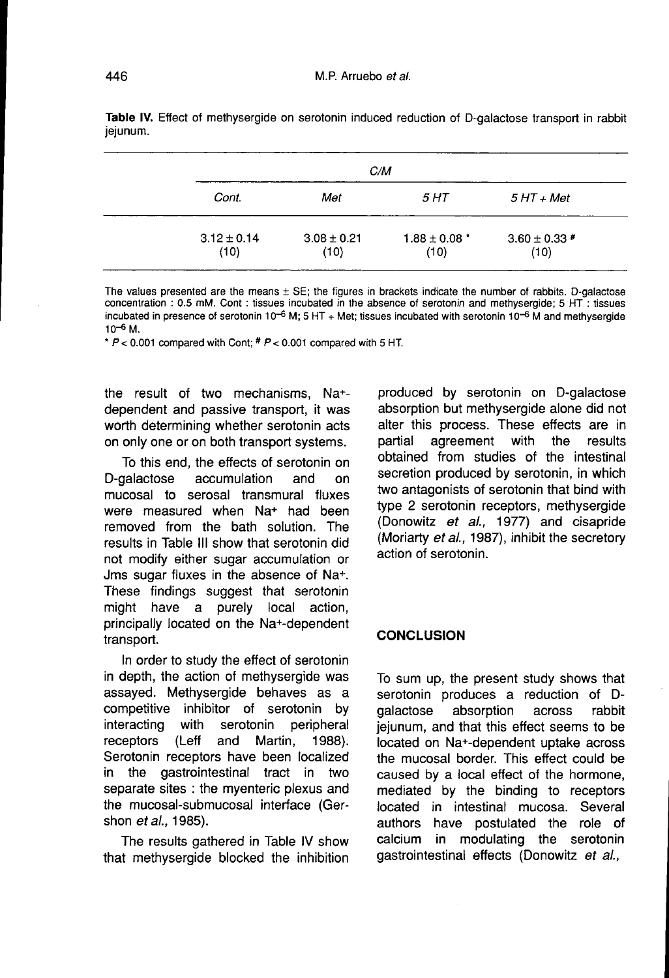|                         | C/M                     |                           |                           |  |  |
|-------------------------|-------------------------|---------------------------|---------------------------|--|--|
| Cont.                   | Met                     | 5 HT                      | $5 HT + Met$              |  |  |
| $3.12 \pm 0.14$<br>(10) | $3.08 \pm 0.21$<br>(10) | $1.88 \pm 0.08$ *<br>(10) | $3.60 \pm 0.33$ #<br>(10) |  |  |

Table IV. Effect of methysergide on serotonin induced reduction of D-galactose transport in rabbit ieiunum.

The values presented are the means ± SE; the figures in brackets indicate the number of rabbits. D-galactose concentration : 0.5 mM. Cont : tissues incubated in the absence of serotonin and methysergide; 5 HT : tissues incubated in presence of serotonin 10<sup>-6</sup> M; 5 HT + Met; tissues incubated with serotonin 10<sup>-6</sup> M and methysergide  $10^{-6}$  M.

\*  $P < 0.001$  compared with Cont;  $# P < 0.001$  compared with 5 HT.

the result of two mechanisms, Na+ dependent and passive transport, it was worth determining whether serotonin acts on only one or on both transport systems.

To this end, the effects of serotonin on<br>D-galactose accumulation and on accumulation and on mucosal to serosal transmural fluxes were measured when Na<sup>+</sup> had been removed from the bath solution. The results in Table III show that serotonin did not modify either sugar accumulation or Jms sugar fluxes in the absence of Na+. These findings suggest that serotonin<br>might have a purely local action, might have a principally located on the Na+-dependent transport.

In order to study the effect of serotonin in depth, the action of methysergide was assayed. Methysergide behaves as a competitive inhibitor of serotonin by<br>interacting with serotonin peripheral with serotonin peripheral<br>(Leff and Martin, 1988). receptors Serotonin receptors have been localized in the gastrointestinal tract in two separate sites : the myenteric plexus and the mucosal-submucosal interface (Gershon *et al.*, 1985).

The results gathered in Table IV show that methysergide blocked the inhibition produced by serotonin on D-galactose absorption but methysergide alone did not alter this process. These effects are in<br>partial agreement with the results agreement with obtained from studies of the intestinal secretion produced by serotonin, in which two antagonists of serotonin that bind with type 2 serotonin receptors, methysergide (Donowitz et al., 1977) and cisapride (Moriarty et al., 1987), inhibit the secretory action of serotonin.

#### **CONCLUSION**

To sum up, the present study shows that serotonin produces a reduction of D-<br>galactose absorption across rabbit galactose absorption across jejunum, and that this effect seems to be located on Na+-dependent uptake across the mucosal border. This effect could be caused by a local effect of the hormone, mediated by the binding to receptors located in intestinal mucosa. Several authors have postulated the role of calcium in modulating the serotonin gastrointestinal effects (Donowitz et al.,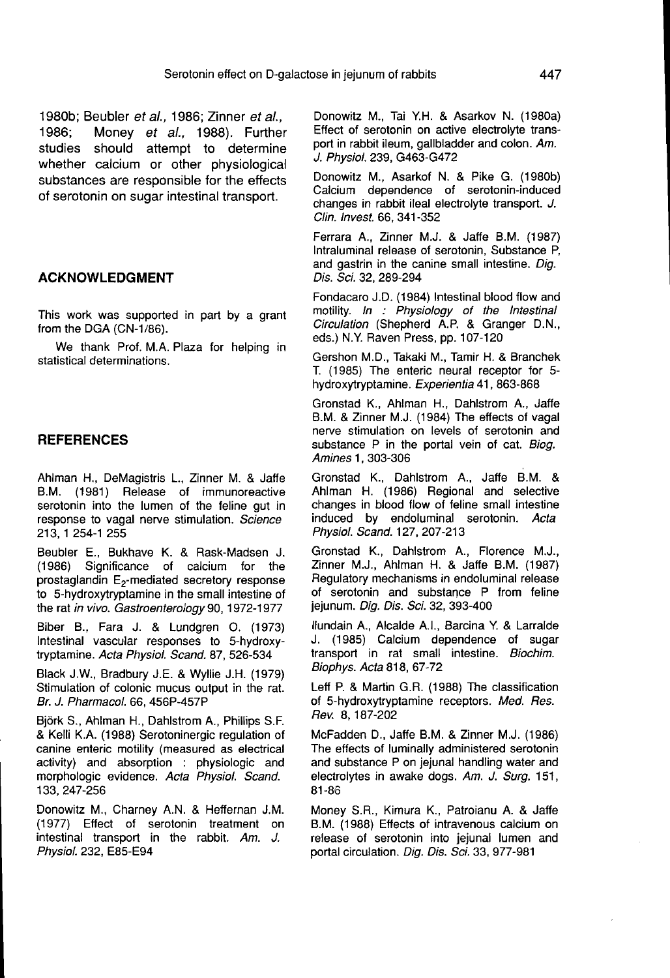1980b; Beubler et al., 1986; Zinner et al., 1986; Money et al., 1988). Further studies should attempt to determine whether calcium or other physiological substances are responsible for the effects of serotonin on sugar intestinal transport.

#### ACKNOWLEDGMENT

This work was supported in part by a grant from the DGA (CN-1/86).

We thank Prof. M.A. Plaza for helping in statistical determinations.

#### **REFERENCES**

Ahlman H., DeMagistris L., Zinner M. & Jaffe B.M. (1981) Release of immunoreactive serotonin into the lumen of the feline gut in response to vagal nerve stimulation. Science 213, 1 254-1 255

Beubler E., Bukhave K. & Rask-Madsen J. (1986) Significance of calcium for the prostaglandin  $E_2$ -mediated secretory response<br>to 5-hydroxytryptamine in the small intestine of the rat in vivo. Gastroenterology 90, 1972-1977

Biber B., Fara J. & Lundgren O. (1973) Intestinal vascular responses to 5-hydroxytryptamine. Acta Physiol. Scand. 87, 526-534

Black J.W., Bradbury J.E. & Wyllie J.H. (1979) Stimulation of colonic mucus output in the rat. Br. J. Pharmacol. 66, 456P-457P

Bj6rk S., Ahlman H., Dahlstrom A., Phillips S.F. & Kelli K.A. (1988) Serotoninergic regulation of canine enteric motility (measured as electrical activity) and absorption : physiologic and morphologic evidence. Acta Physiol. Scand. 133, 247-256

Donowitz M., Charney A.N. & Heffernan J.M. (1977) Effect of serotonin treatment on intestinal transport in the rabbit. Am. J. Physiol. 232, E85-E94

Donowitz M., Tai Y.H. & Asarkov N. (1980a) Effect of serotonin on active electrolyte transport in rabbit ileum, gallbladder and colon. Am. J. Physiol. 239, G463-G472

Donowitz M., Asarkof N. & Pike G. (1980b) Calcium dependence of serotonin-induced changes in rabbit ileal electrolyte transport. J. Clin. Invest. 66, 341-352

Ferrara A., Zinner M.J. & Jaffe B.M. (1987) Intraluminal release of serotonin, Substance P, and gastrin in the canine small intestine. Dig. Dis. Sci. 32, 289-294

Fondacaro J.D. (1984) Intestinal blood flow and motility. In : Physiology of the Intestinal Circulation (Shepherd A.P. & Granger D.N., eds.) N.Y. Raven Press, pp. 107-120

Gershon M.D., Takaki M., Tamir H. & Branchek T. (1985) The enteric neural receptor for 5 hydroxytryptamine. Experientia 41, 863-868

Gronstad K., Ahlman H., Dahlstrom A., Jaffe B.M. & Zinner M.J. (1984) The effects of vagal nerve stimulation on levels of serotonin and substance P in the portal vein of cat. Biog. Amines 1, 303-306

Gronstad K., Dahlstrom A., Jaffe B.M. & Ahlman H. (1986) Regional and selective changes in blood flow of feline small intestine induced by endoluminal serotonin. Acta Physiol. Scand. 127, 207-213

Gronstad K., Dahlstrom A., Florence M.J., Zinner M.J., Ahlman H. & Jaffe B.M. (1987) Regulatory mechanisms in endoluminal release of serotonin and substance P from feline jejunum. Dig. Dis. Sci. 32, 393-400

liundain A., Alcalde A.I., Barcina Y & Larralde J. (1985) Calcium dependence of sugar transport in rat small intestine. Biochim. Biophys. Acta 818, 67-72

Leff P. & Martin G.R. (1988) The classification of 5-hydroxytryptamine receptors. Med. Res. Rev. 8, 187-202

McFadden D., Jaffe B.M. & Zinner M.J. (1986) The effects of luminally administered serotonin and substance P on jejunal handling water and electrolytes in awake dogs. Am. J. Surg. 151, 81-86

Money S.R., Kimura K., Patroianu A. & Jaffe B.M. (1988) Effects of intravenous calcium on release of serotonin into jejunal lumen and portal circulation. Dig. Dis. Sci. 33, 977-981